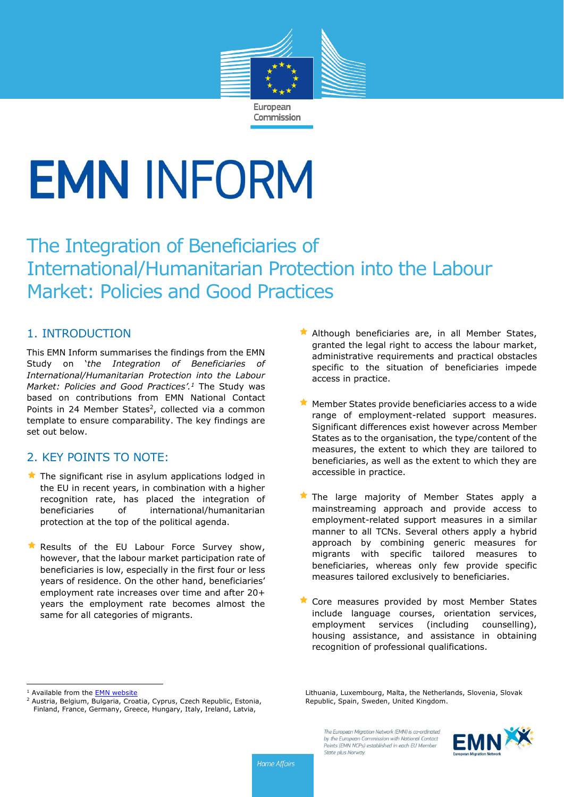

# **EMN INFORM**

The Integration of Beneficiaries of International/Humanitarian Protection into the Labour Market: Policies and Good Practices

# 1. INTRODUCTION

This EMN Inform summarises the findings from the EMN Study on '*the Integration of Beneficiaries of International/Humanitarian Protection into the Labour Market: Policies and Good Practices'.<sup>1</sup>* The Study was based on contributions from EMN National Contact Points in 24 Member States<sup>2</sup>, collected via a common template to ensure comparability. The key findings are set out below.

# 2. KEY POINTS TO NOTE:

- $\star$  The significant rise in asylum applications lodged in the EU in recent years, in combination with a higher recognition rate, has placed the integration of beneficiaries of international/humanitarian protection at the top of the political agenda.
- Results of the EU Labour Force Survey show, however, that the labour market participation rate of beneficiaries is low, especially in the first four or less years of residence. On the other hand, beneficiaries' employment rate increases over time and after 20+ years the employment rate becomes almost the same for all categories of migrants.
- Although beneficiaries are, in all Member States, granted the legal right to access the labour market, administrative requirements and practical obstacles specific to the situation of beneficiaries impede access in practice.
- $\blacktriangleright$  Member States provide beneficiaries access to a wide range of employment-related support measures. Significant differences exist however across Member States as to the organisation, the type/content of the measures, the extent to which they are tailored to beneficiaries, as well as the extent to which they are accessible in practice.
- The large majority of Member States apply a mainstreaming approach and provide access to employment-related support measures in a similar manner to all TCNs. Several others apply a hybrid approach by combining generic measures for migrants with specific tailored measures to beneficiaries, whereas only few provide specific measures tailored exclusively to beneficiaries.
- **X** Core measures provided by most Member States include language courses, orientation services, employment services (including counselling), housing assistance, and assistance in obtaining recognition of professional qualifications.

 $\overline{a}$ 



**Home Affairs** 

<sup>&</sup>lt;sup>1</sup> Available from the **EMN** website

<sup>2</sup> Austria, Belgium, Bulgaria, Croatia, Cyprus, Czech Republic, Estonia, Finland, France, Germany, Greece, Hungary, Italy, Ireland, Latvia,

Lithuania, Luxembourg, Malta, the Netherlands, Slovenia, Slovak Republic, Spain, Sweden, United Kingdom.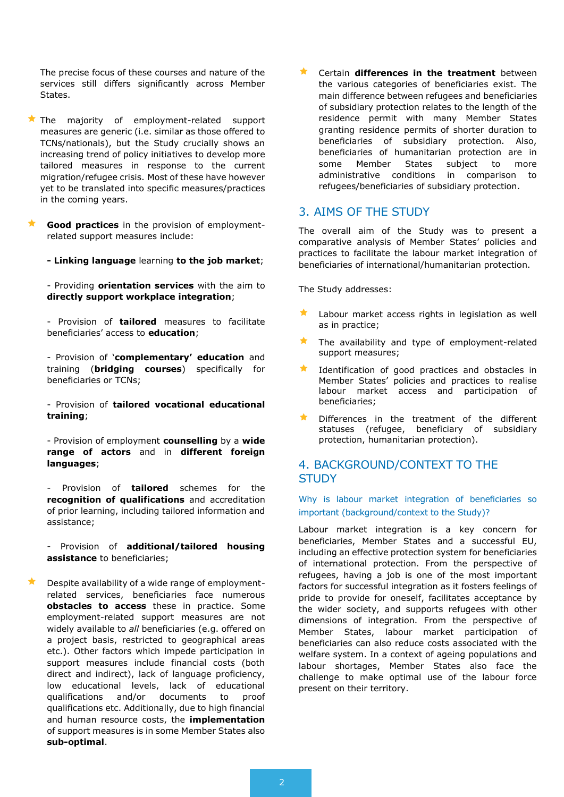The precise focus of these courses and nature of the services still differs significantly across Member States.

- $\star$  The majority of employment-related support measures are generic (i.e. similar as those offered to TCNs/nationals), but the Study crucially shows an increasing trend of policy initiatives to develop more tailored measures in response to the current migration/refugee crisis. Most of these have however yet to be translated into specific measures/practices in the coming years.
- **Good practices** in the provision of employmentrelated support measures include:
	- **- Linking language** learning **to the job market**;

- Providing **orientation services** with the aim to **directly support workplace integration**;

- Provision of **tailored** measures to facilitate beneficiaries' access to **education**;

- Provision of '**complementary' education** and training (**bridging courses**) specifically for beneficiaries or TCNs;

- Provision of **tailored vocational educational training**;

- Provision of employment **counselling** by a **wide range of actors** and in **different foreign languages**;

- Provision of **tailored** schemes for the **recognition of qualifications** and accreditation of prior learning, including tailored information and assistance;

- Provision of **additional/tailored housing assistance** to beneficiaries;

 Despite availability of a wide range of employmentrelated services, beneficiaries face numerous **obstacles to access** these in practice. Some employment-related support measures are not widely available to *all* beneficiaries (e.g. offered on a project basis, restricted to geographical areas etc.). Other factors which impede participation in support measures include financial costs (both direct and indirect), lack of language proficiency, low educational levels, lack of educational qualifications and/or documents to proof qualifications etc. Additionally, due to high financial and human resource costs, the **implementation** of support measures is in some Member States also **sub-optimal**.

 Certain **differences in the treatment** between the various categories of beneficiaries exist. The main difference between refugees and beneficiaries of subsidiary protection relates to the length of the residence permit with many Member States granting residence permits of shorter duration to beneficiaries of subsidiary protection. Also, beneficiaries of humanitarian protection are in some Member States subject to more administrative conditions in comparison to refugees/beneficiaries of subsidiary protection.

## 3. AIMS OF THE STUDY

The overall aim of the Study was to present a comparative analysis of Member States' policies and practices to facilitate the labour market integration of beneficiaries of international/humanitarian protection.

The Study addresses:

- Labour market access rights in legislation as well as in practice;
- The availability and type of employment-related support measures;
- Identification of good practices and obstacles in Member States' policies and practices to realise labour market access and participation of beneficiaries;
- Differences in the treatment of the different statuses (refugee, beneficiary of subsidiary protection, humanitarian protection).

## 4. BACKGROUND/CONTEXT TO THE **STUDY**

Why is labour market integration of beneficiaries so important (background/context to the Study)?

Labour market integration is a key concern for beneficiaries, Member States and a successful EU, including an effective protection system for beneficiaries of international protection. From the perspective of refugees, having a job is one of the most important factors for successful integration as it fosters feelings of pride to provide for oneself, facilitates acceptance by the wider society, and supports refugees with other dimensions of integration. From the perspective of Member States, labour market participation of beneficiaries can also reduce costs associated with the welfare system. In a context of ageing populations and labour shortages, Member States also face the challenge to make optimal use of the labour force present on their territory.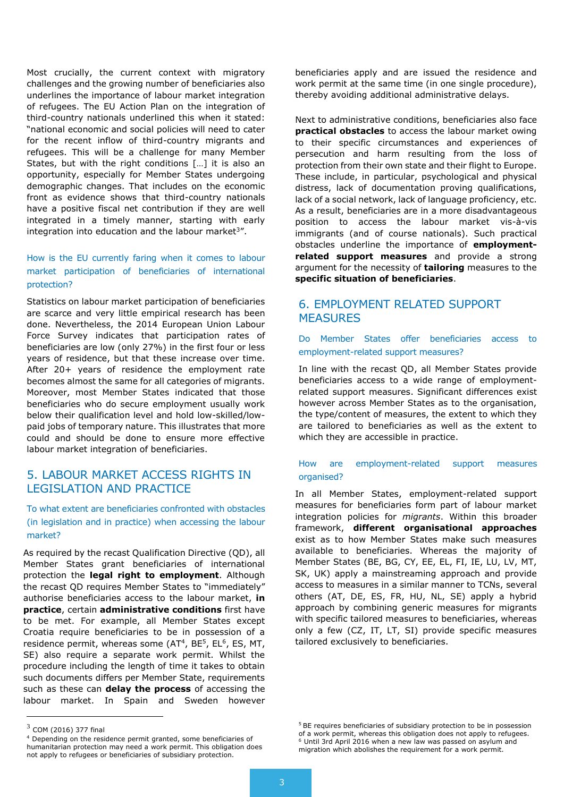Most crucially, the current context with migratory challenges and the growing number of beneficiaries also underlines the importance of labour market integration of refugees. The EU Action Plan on the integration of third-country nationals underlined this when it stated: "national economic and social policies will need to cater for the recent inflow of third-country migrants and refugees. This will be a challenge for many Member States, but with the right conditions […] it is also an opportunity, especially for Member States undergoing demographic changes. That includes on the economic front as evidence shows that third-country nationals have a positive fiscal net contribution if they are well integrated in a timely manner, starting with early integration into education and the labour market<sup>3</sup>".

## How is the EU currently faring when it comes to labour market participation of beneficiaries of international protection?

Statistics on labour market participation of beneficiaries are scarce and very little empirical research has been done. Nevertheless, the 2014 European Union Labour Force Survey indicates that participation rates of beneficiaries are low (only 27%) in the first four or less years of residence, but that these increase over time. After 20+ years of residence the employment rate becomes almost the same for all categories of migrants. Moreover, most Member States indicated that those beneficiaries who do secure employment usually work below their qualification level and hold low-skilled/lowpaid jobs of temporary nature. This illustrates that more could and should be done to ensure more effective labour market integration of beneficiaries.

# 5. LABOUR MARKET ACCESS RIGHTS IN LEGISLATION AND PRACTICE

To what extent are beneficiaries confronted with obstacles (in legislation and in practice) when accessing the labour market?

As required by the recast Qualification Directive (QD), all Member States grant beneficiaries of international protection the **legal right to employment**. Although the recast QD requires Member States to "immediately" authorise beneficiaries access to the labour market, **in practice**, certain **administrative conditions** first have to be met. For example, all Member States except Croatia require beneficiaries to be in possession of a residence permit, whereas some (AT<sup>4</sup>, BE<sup>5</sup>, EL<sup>6</sup>, ES, MT, SE) also require a separate work permit. Whilst the procedure including the length of time it takes to obtain such documents differs per Member State, requirements such as these can **delay the process** of accessing the labour market. In Spain and Sweden however

 $\overline{a}$ 

beneficiaries apply and are issued the residence and work permit at the same time (in one single procedure), thereby avoiding additional administrative delays.

Next to administrative conditions, beneficiaries also face **practical obstacles** to access the labour market owing to their specific circumstances and experiences of persecution and harm resulting from the loss of protection from their own state and their flight to Europe. These include, in particular, psychological and physical distress, lack of documentation proving qualifications, lack of a social network, lack of language proficiency, etc. As a result, beneficiaries are in a more disadvantageous position to access the labour market vis-à-vis immigrants (and of course nationals). Such practical obstacles underline the importance of **employmentrelated support measures** and provide a strong argument for the necessity of **tailoring** measures to the **specific situation of beneficiaries**.

# 6. EMPLOYMENT RELATED SUPPORT **MEASURES**

#### Do Member States offer beneficiaries access to employment-related support measures?

In line with the recast QD, all Member States provide beneficiaries access to a wide range of employmentrelated support measures. Significant differences exist however across Member States as to the organisation, the type/content of measures, the extent to which they are tailored to beneficiaries as well as the extent to which they are accessible in practice.

#### How are employment-related support measures organised?

In all Member States, employment-related support measures for beneficiaries form part of labour market integration policies for *migrants*. Within this broader framework, **different organisational approaches** exist as to how Member States make such measures available to beneficiaries. Whereas the majority of Member States (BE, BG, CY, EE, EL, FI, IE, LU, LV, MT, SK, UK) apply a mainstreaming approach and provide access to measures in a similar manner to TCNs, several others (AT, DE, ES, FR, HU, NL, SE) apply a hybrid approach by combining generic measures for migrants with specific tailored measures to beneficiaries, whereas only a few (CZ, IT, LT, SI) provide specific measures tailored exclusively to beneficiaries.

 $3$  COM (2016) 377 final

<sup>4</sup> Depending on the residence permit granted, some beneficiaries of humanitarian protection may need a work permit. This obligation does not apply to refugees or beneficiaries of subsidiary protection.

<sup>&</sup>lt;sup>5</sup> BE requires beneficiaries of subsidiary protection to be in possession of a work permit, whereas this obligation does not apply to refugees. <sup>6</sup> Until 3rd April 2016 when a new law was passed on asylum and migration which abolishes the requirement for a work permit.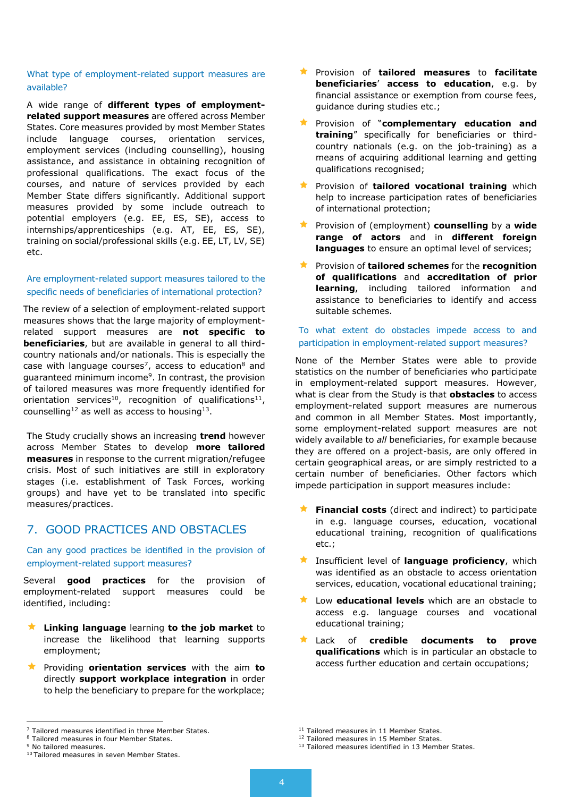#### What type of employment-related support measures are available?

A wide range of **different types of employmentrelated support measures** are offered across Member States. Core measures provided by most Member States include language courses, orientation services, employment services (including counselling), housing assistance, and assistance in obtaining recognition of professional qualifications. The exact focus of the courses, and nature of services provided by each Member State differs significantly. Additional support measures provided by some include outreach to potential employers (e.g. EE, ES, SE), access to internships/apprenticeships (e.g. AT, EE, ES, SE), training on social/professional skills (e.g. EE, LT, LV, SE) etc.

#### Are employment-related support measures tailored to the specific needs of beneficiaries of international protection?

The review of a selection of employment-related support measures shows that the large majority of employmentrelated support measures are **not specific to beneficiaries**, but are available in general to all thirdcountry nationals and/or nationals. This is especially the case with language courses<sup>7</sup>, access to education<sup>8</sup> and guaranteed minimum income<sup>9</sup>. In contrast, the provision of tailored measures was more frequently identified for orientation services<sup>10</sup>, recognition of qualifications<sup>11</sup>, counselling<sup>12</sup> as well as access to housing<sup>13</sup>.

The Study crucially shows an increasing **trend** however across Member States to develop **more tailored measures** in response to the current migration/refugee crisis. Most of such initiatives are still in exploratory stages (i.e. establishment of Task Forces, working groups) and have yet to be translated into specific measures/practices.

## 7. GOOD PRACTICES AND OBSTACLES

Can any good practices be identified in the provision of employment-related support measures?

Several **good practices** for the provision of employment-related support measures could be identified, including:

- **Linking language** learning **to the job market** to increase the likelihood that learning supports employment;
- Providing **orientation services** with the aim **to** directly **support workplace integration** in order to help the beneficiary to prepare for the workplace;

l

- Provision of **tailored measures** to **facilitate beneficiaries**' **access to education**, e.g. by financial assistance or exemption from course fees, guidance during studies etc.;
- Provision of "**complementary education and training**" specifically for beneficiaries or thirdcountry nationals (e.g. on the job-training) as a means of acquiring additional learning and getting qualifications recognised;
- **Reference 1 Findom Provision of tailored vocational training** which help to increase participation rates of beneficiaries of international protection;
- Provision of (employment) **counselling** by a **wide range of actors** and in **different foreign languages** to ensure an optimal level of services;
- Provision of **tailored schemes** for the **recognition of qualifications** and **accreditation of prior learning**, including tailored information and assistance to beneficiaries to identify and access suitable schemes.

## To what extent do obstacles impede access to and participation in employment-related support measures?

None of the Member States were able to provide statistics on the number of beneficiaries who participate in employment-related support measures. However, what is clear from the Study is that **obstacles** to access employment-related support measures are numerous and common in all Member States. Most importantly, some employment-related support measures are not widely available to *all* beneficiaries, for example because they are offered on a project-basis, are only offered in certain geographical areas, or are simply restricted to a certain number of beneficiaries. Other factors which impede participation in support measures include:

- **Financial costs** (direct and indirect) to participate in e.g. language courses, education, vocational educational training, recognition of qualifications etc.;
- Insufficient level of **language proficiency**, which was identified as an obstacle to access orientation services, education, vocational educational training;
- Low **educational levels** which are an obstacle to access e.g. language courses and vocational educational training;
- Lack of **credible documents to prove qualifications** which is in particular an obstacle to access further education and certain occupations;

 $<sup>7</sup>$  Tailored measures identified in three Member States.</sup>

<sup>8</sup> Tailored measures in four Member States.

<sup>&</sup>lt;sup>9</sup> No tailored measures.

<sup>&</sup>lt;sup>10</sup> Tailored measures in seven Member States.

<sup>&</sup>lt;sup>11</sup> Tailored measures in 11 Member States.

<sup>&</sup>lt;sup>12</sup> Tailored measures in 15 Member States.

<sup>&</sup>lt;sup>13</sup> Tailored measures identified in 13 Member States.